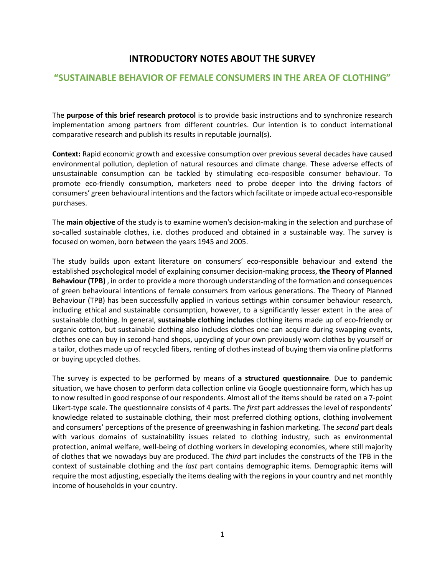## **INTRODUCTORY NOTES ABOUT THE SURVEY**

## **"SUSTAINABLE BEHAVIOR OF FEMALE CONSUMERS IN THE AREA OF CLOTHING"**

The **purpose of this brief research protocol** is to provide basic instructions and to synchronize research implementation among partners from different countries. Our intention is to conduct international comparative research and publish its results in reputable journal(s).

**Context:** Rapid economic growth and excessive consumption over previous several decades have caused environmental pollution, depletion of natural resources and climate change. These adverse effects of unsustainable consumption can be tackled by stimulating eco-resposible consumer behaviour. To promote eco-friendly consumption, marketers need to probe deeper into the driving factors of consumers' green behavioural intentions and the factors which facilitate or impede actual eco-responsible purchases.

The **main objective** of the study is to examine women's decision-making in the selection and purchase of so-called sustainable clothes, i.e. clothes produced and obtained in a sustainable way. The survey is focused on women, born between the years 1945 and 2005.

The study builds upon extant literature on consumers' eco-responsible behaviour and extend the established psychological model of explaining consumer decision-making process, **the Theory of Planned Behaviour (TPB)** , in order to provide a more thorough understanding of the formation and consequences of green behavioural intentions of female consumers from various generations. The Theory of Planned Behaviour (TPB) has been successfully applied in various settings within consumer behaviour research, including ethical and sustainable consumption, however, to a significantly lesser extent in the area of sustainable clothing. In general, **sustainable clothing includes** clothing items made up of eco-friendly or organic cotton, but sustainable clothing also includes clothes one can acquire during swapping events, clothes one can buy in second-hand shops, upcycling of your own previously worn clothes by yourself or a tailor, clothes made up of recycled fibers, renting of clothes instead of buying them via online platforms or buying upcycled clothes.

The survey is expected to be performed by means of **a structured questionnaire**. Due to pandemic situation, we have chosen to perform data collection online via Google questionnaire form, which has up to now resulted in good response of our respondents. Almost all of the items should be rated on a 7-point Likert-type scale. The questionnaire consists of 4 parts. The *first* part addresses the level of respondents' knowledge related to sustainable clothing, their most preferred clothing options, clothing involvement and consumers' perceptions of the presence of greenwashing in fashion marketing. The *second* part deals with various domains of sustainability issues related to clothing industry, such as environmental protection, animal welfare, well-being of clothing workers in developing economies, where still majority of clothes that we nowadays buy are produced. The *third* part includes the constructs of the TPB in the context of sustainable clothing and the *last* part contains demographic items. Demographic items will require the most adjusting, especially the items dealing with the regions in your country and net monthly income of households in your country.